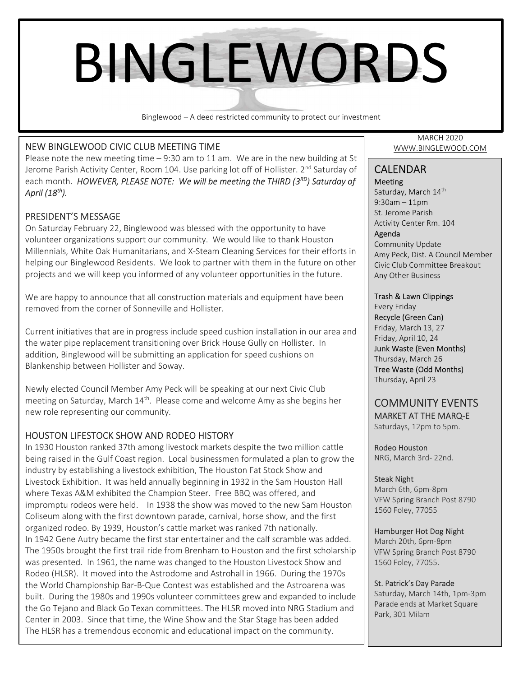# BINGLEWORDS

Binglewood – A deed restricted community to protect our investment

## NEW BINGLEWOOD CIVIC CLUB MEETING TIME

Please note the new meeting time – 9:30 am to 11 am. We are in the new building at St Jerome Parish Activity Center, Room 104. Use parking lot off of Hollister. 2<sup>nd</sup> Saturday of each month. HOWEVER, PLEASE NOTE: We will be meeting the THIRD ( $3^{RD}$ ) Saturday of April  $(18<sup>th</sup>)$ .

## PRESIDENT'S MESSAGE

On Saturday February 22, Binglewood was blessed with the opportunity to have volunteer organizations support our community. We would like to thank Houston Millennials, White Oak Humanitarians, and X-Steam Cleaning Services for their efforts in helping our Binglewood Residents. We look to partner with them in the future on other projects and we will keep you informed of any volunteer opportunities in the future.

We are happy to announce that all construction materials and equipment have been removed from the corner of Sonneville and Hollister.

Current initiatives that are in progress include speed cushion installation in our area and the water pipe replacement transitioning over Brick House Gully on Hollister. In addition, Binglewood will be submitting an application for speed cushions on Blankenship between Hollister and Soway.

Newly elected Council Member Amy Peck will be speaking at our next Civic Club meeting on Saturday, March  $14<sup>th</sup>$ . Please come and welcome Amy as she begins her new role representing our community.

## HOUSTON LIFESTOCK SHOW AND RODEO HISTORY

In 1930 Houston ranked 37th among livestock markets despite the two million cattle being raised in the Gulf Coast region. Local businessmen formulated a plan to grow the industry by establishing a livestock exhibition, The Houston Fat Stock Show and Livestock Exhibition. It was held annually beginning in 1932 in the Sam Houston Hall where Texas A&M exhibited the Champion Steer. Free BBQ was offered, and impromptu rodeos were held. In 1938 the show was moved to the new Sam Houston Coliseum along with the first downtown parade, carnival, horse show, and the first organized rodeo. By 1939, Houston's cattle market was ranked 7th nationally. In 1942 Gene Autry became the first star entertainer and the calf scramble was added. The 1950s brought the first trail ride from Brenham to Houston and the first scholarship was presented. In 1961, the name was changed to the Houston Livestock Show and Rodeo (HLSR). It moved into the Astrodome and Astrohall in 1966. During the 1970s the World Championship Bar-B-Que Contest was established and the Astroarena was built. During the 1980s and 1990s volunteer committees grew and expanded to include the Go Tejano and Black Go Texan committees. The HLSR moved into NRG Stadium and Center in 2003. Since that time, the Wine Show and the Star Stage has been added The HLSR has a tremendous economic and educational impact on the community.

MARCH 2020 WWW.BINGLEWOOD.COM

#### CALENDAR Meeting

Saturday, March 14<sup>th</sup> 9:30am – 11pm St. Jerome Parish Activity Center Rm. 104 Agenda Community Update Amy Peck, Dist. A Council Member Civic Club Committee Breakout

## Trash & Lawn Clippings

Any Other Business

Every Friday Recycle (Green Can) Friday, March 13, 27 Friday, April 10, 24 Junk Waste (Even Months) Thursday, March 26 Tree Waste (Odd Months) Thursday, April 23

## COMMUNITY EVENTS MARKET AT THE MARQ-E Saturdays, 12pm to 5pm.

Rodeo Houston NRG, March 3rd- 22nd.

#### Steak Night

March 6th, 6pm-8pm VFW Spring Branch Post 8790 1560 Foley, 77055

#### Hamburger Hot Dog Night

March 20th, 6pm-8pm VFW Spring Branch Post 8790 1560 Foley, 77055.

#### St. Patrick's Day Parade

 Parade ends at Market Square Saturday, March 14th, 1pm-3pm Park, 301 Milam